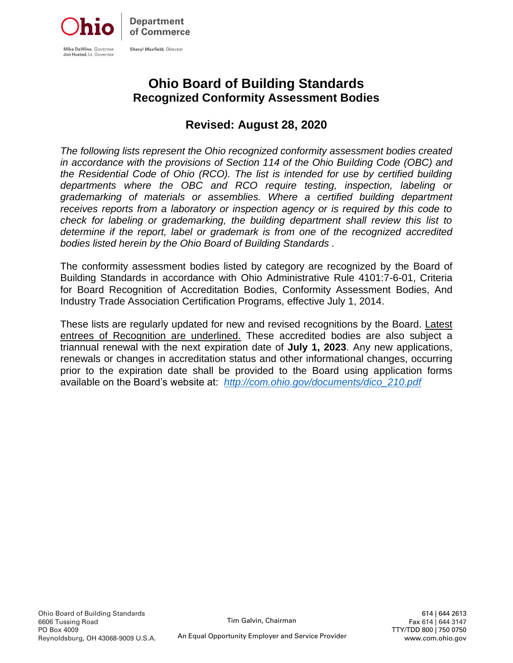

# **Ohio Board of Building Standards Recognized Conformity Assessment Bodies**

# **Revised: August 28, 2020**

*The following lists represent the Ohio recognized conformity assessment bodies created in accordance with the provisions of Section 114 of the Ohio Building Code (OBC) and the Residential Code of Ohio (RCO). The list is intended for use by certified building departments where the OBC and RCO require testing, inspection, labeling or grademarking of materials or assemblies. Where a certified building department receives reports from a laboratory or inspection agency or is required by this code to check for labeling or grademarking, the building department shall review this list to determine if the report, label or grademark is from one of the recognized accredited bodies listed herein by the Ohio Board of Building Standards .* 

The conformity assessment bodies listed by category are recognized by the Board of Building Standards in accordance with Ohio Administrative Rule 4101:7-6-01, Criteria for Board Recognition of Accreditation Bodies, Conformity Assessment Bodies, And Industry Trade Association Certification Programs, effective July 1, 2014.

These lists are regularly updated for new and revised recognitions by the Board. Latest entrees of Recognition are underlined. These accredited bodies are also subject a triannual renewal with the next expiration date of **July 1, 2023**. Any new applications, renewals or changes in accreditation status and other informational changes, occurring prior to the expiration date shall be provided to the Board using application forms available on the Board's website at: *[http://com.ohio.gov/documents/dico\\_210.pdf](http://com.ohio.gov/documents/dico_210.pdf)*

 614 | 644 2613 Fax 614 | 644 3147 TTY/TDD 800 | 750 0750 www.com.ohio.gov